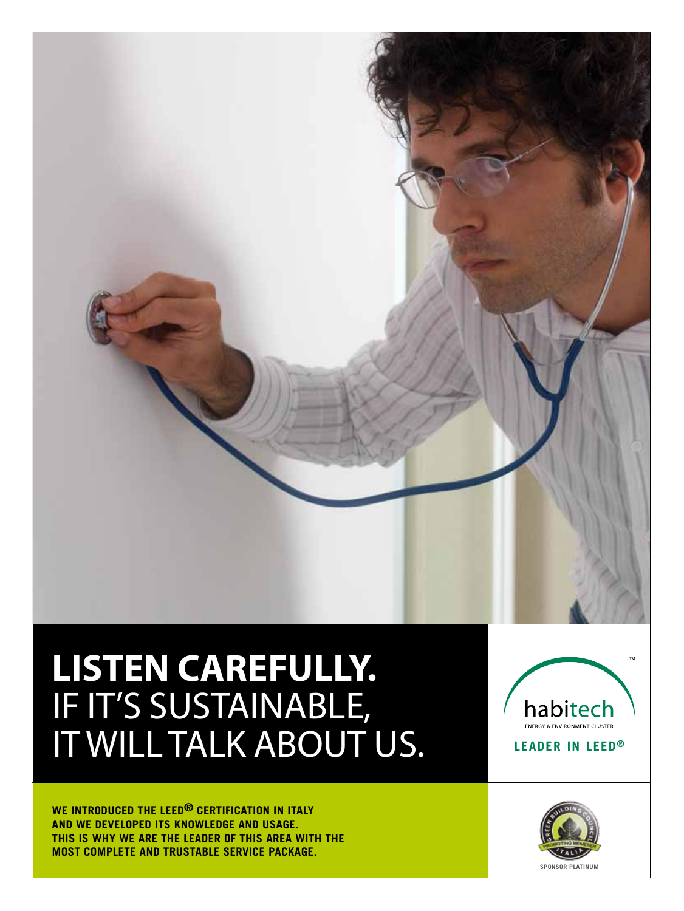

# **LISTEN CAREFULLY.** IF IT'S SUSTAINABLE, IT WILL TALK ABOUT US.

**WE INTRODUCED THE LEED® CERTIFICATION IN ITALY AND WE DEVELOPED ITS KNOWLEDGE AND USAGE. THIS IS WHY WE ARE THE LEADER OF THIS AREA WITH THE MOST COMPLETE AND TRUSTABLE SERVICE PACKAGE.**



**SPONSOR PLATINum**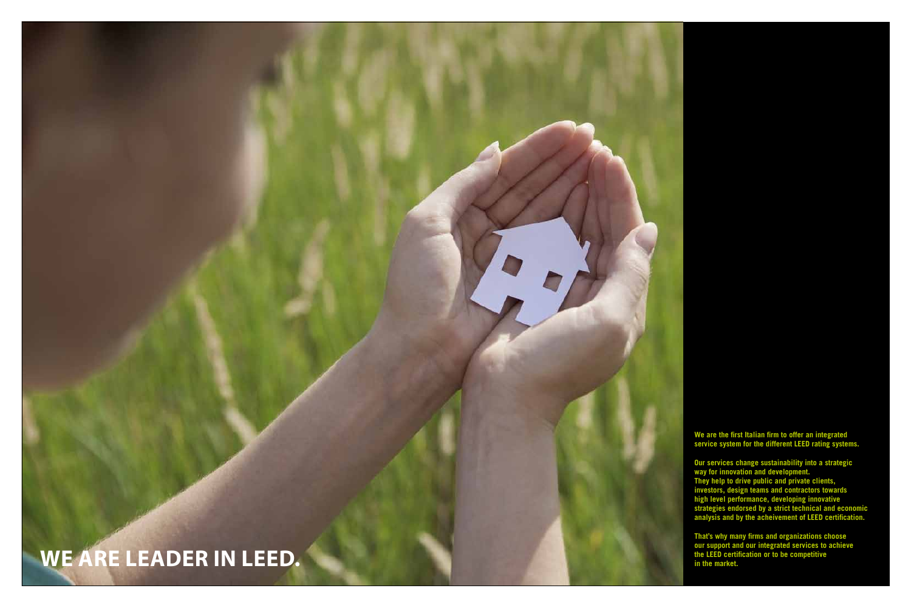## WE ARE LEADER IN LEED

**We are the first Italian firm to offer an integrated**  service system for the different LEED rating systems.

**Our services change sustainability into a strategic way for innovation and development. They help to drive public and private clients, investors, design teams and contractors towards high level performance, developing innovative strategies endorsed by a strict technical and economic**  analysis and by the acheivement of LEED certification.

**That's why many firms and organizations choose our support and our integrated services to achieve the leed certification or to be competitive . i** the LEED certification of the LEED certification of the LEED certification of the LEED certification of the market.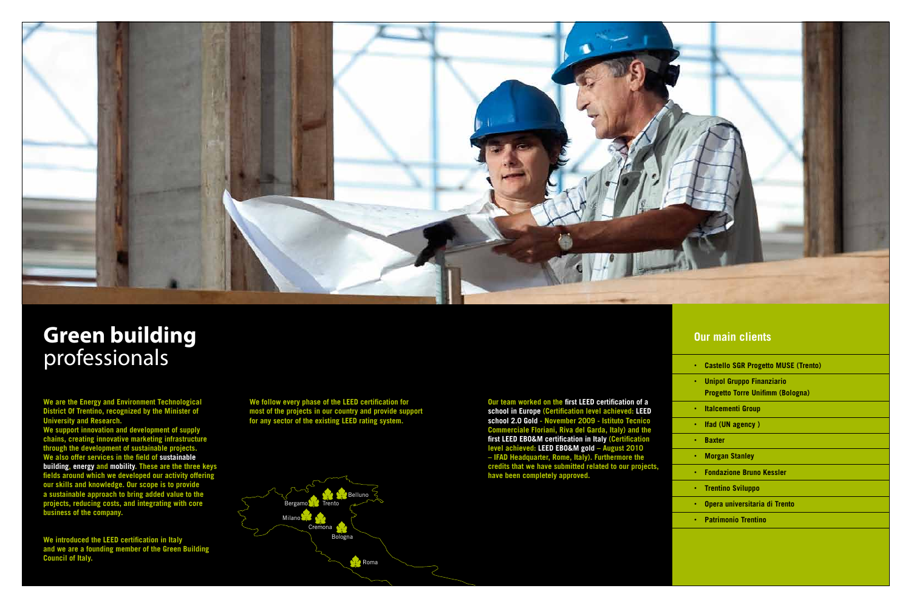

## **Green building** professionals

**We are the Energy and Environment Technological District Of Trentino, recognized by the Minister of University and Research.**

**We introduced the LEED certification in Italy and we are a founding member of the Green Building Council of Italy.**

We follow every phase of the LEED certification for **most of the projects in our country and provide support**  for any sector of the existing LEED rating system.

**We support innovation and development of supply chains, creating innovative marketing infrastructure through the development of sustainable projects. We also offer services in the field of sustainable building, energy and mobility. These are the three keys fields around which we developed our activity offering our skills and knowledge. Our scope is to provide a sustainable approach to bring added value to the projects, reducing costs, and integrating with core business of the company.**

**Our team worked on the first LEED certification of a** school in Europe (Certification level achieved: LEED **school 2.0 Gold - November 2009 - Istituto Tecnico Commerciale Floriani, Riva del Garda, Italy) and the first leed ebo&m certification in Italy (Certification level achieved: leed ebo&m gold – August 2010 – ifad Headquarter, Rome, Italy). Furthermore the credits that we have submitted related to our projects, have been completely approved.**

### **Our main clients**

|  | <b>Castello SGR Progetto MUSE (Trento)</b> |  |
|--|--------------------------------------------|--|
|  |                                            |  |

- **Unipol Gruppo Finanziario Progetto Torre Unifimm (Bologna)**
- **Italcementi Group**
- **Ifad (UN agency )**
- **Baxter**
- **Morgan Stanley**
- **Fondazione Bruno Kessler**
- **Trentino Sviluppo**
- **Opera universitaria di Trento**
- **Patrimonio Trentino**

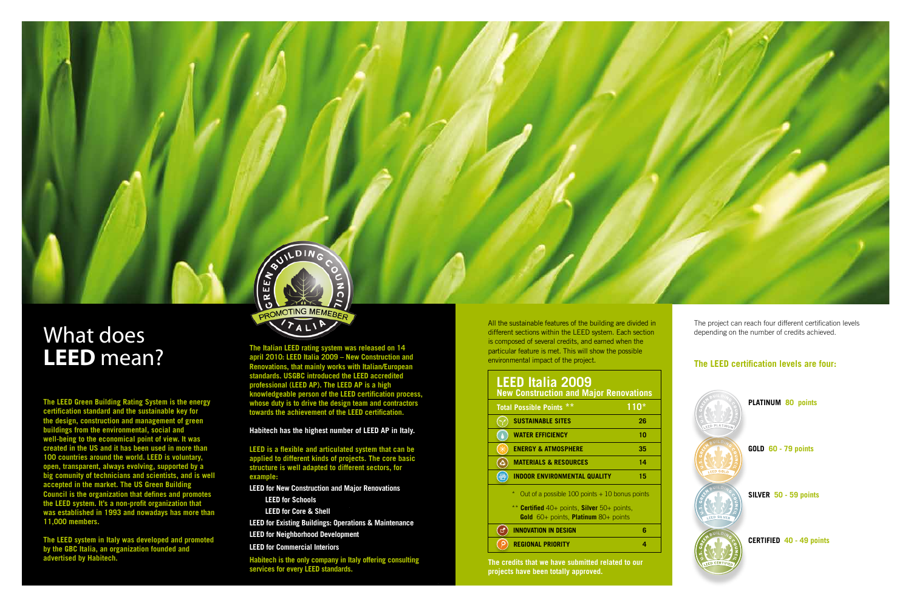The project can reach four different certification levels depending on the number of credits achieved.

### **The LEED certification levels are four:**



**PLATINUM 80 points** 

**GOLD 60 - 79 points**

**SILVER 50 - 59 points**

**CERTIFIED 40 - 49 points**

## What does **LEED** mean?

**The LEED Green Building Rating System is the energy certification standard and the sustainable key for the design, construction and management of green buildings from the environmental, social and well-being to the economical point of view. It was created in the US and it has been used in more than 100 countries around the world. Leed is voluntary, open, transparent, always evolving, supported by a big comunity of technicians and scientists, and is well accepted in the market. The us Green Building Council is the organization that defines and promotes**  the LEED system. It's a non-profit organization that **was established in 1993 and nowadays has more than 11,000 members.**

**The LEED system in Italy was developed and promoted by the gbc Italia, an organization founded and advertised by Habitech.**

**The Italian leed rating system was released on 14 april 2010: leed Italia 2009 – New Construction and Renovations, that mainly works with Italian/European standards. Usgbc introduced the leed accredited professional (leed ap). The leed ap is a high**  knowledgeable person of the LEED certification process, **whose duty is to drive the design team and contractors**  towards the achievement of the LEED certification.



**LEED is a flexible and articulated system that can be applied to different kinds of projects. The core basic structure is well adapted to different sectors, for example:** 

#### **Habitech has the highest number of leed ap in Italy.**

**LEED for New Construction and Major Renovations**

#### **LEED for Schools**

 **LEED for Core & Shell**

**LEED for Existing Buildings: Operations & Maintenance**

**LEED for Neighborhood Development**

**LEED for Commercial Interiors**

**Habitech is the only company in Italy offering consulting services for every LEED standards.**

All the sustainable features of the building are divided in different sections within the LEED system. Each section is composed of several credits, and earned when the particular feature is met. This will show the possible environmental impact of the project.

### **LEED Italia 2009**

| <b>New Construction and Major Renovations</b>                                                         |      |
|-------------------------------------------------------------------------------------------------------|------|
| <b>Total Possible Points **</b>                                                                       | 110* |
| <b>SUSTAINABLE SITES</b>                                                                              | 26   |
| <b>WATER EFFICIENCY</b>                                                                               | 10   |
| <b>ENERGY &amp; ATMOSPHERE</b>                                                                        | 35   |
| <b>MATERIALS &amp; RESOURCES</b>                                                                      | 14   |
| <b>INDOOR ENVIRONMENTAL QUALITY</b>                                                                   | 15   |
| $\ast$<br>Out of a possible $100$ points $+10$ bonus points                                           |      |
| ** Certified 40+ points, Silver 50+ points,<br><b>Gold</b> $60+$ points, <b>Platinum</b> $80+$ points |      |
| <b>INNOVATION IN DESIGN</b>                                                                           | 6    |
| <b>REGIONAL PRIORITY</b>                                                                              | 4    |

**The credits that we have submitted related to our projects have been totally approved.** 

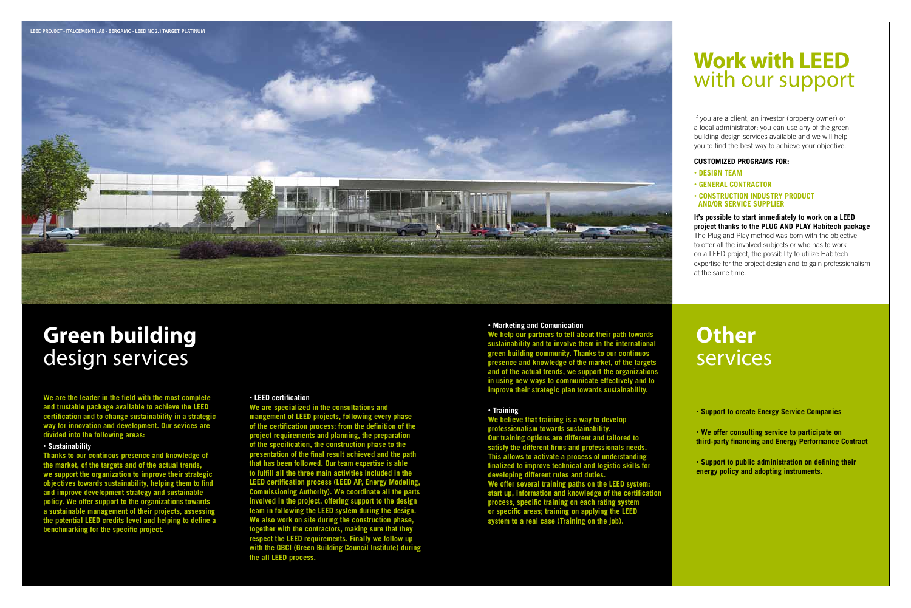## **Green building** design services

**We are the leader in the field with the most complete and trustable package available to achieve the LEED certification and to change sustainability in a strategic way for innovation and development. Our sevices are divided into the following areas:**

#### • **Sustainability**

**We are specialized in the consultations and mangement of leed projects, following every phase of the certification process: from the definition of the project requirements and planning, the preparation of the specification, the construction phase to the presentation of the final result achieved and the path that has been followed. Our team expertise is able to fulfill all the three main activities included in the LEED certification process (LEED AP, Energy Modeling Commissioning Authority). We coordinate all the parts involved in the project, offering support to the design**  team in following the LEED system during the design. **We also work on site during the construction phase, together with the contractors, making sure that they**  respect the LEED requirements. Finally we follow up **with the gbci (Green Building Council Institute) during**  the all LEED process.

**Thanks to our continous presence and knowledge of the market, of the targets and of the actual trends, we support the organization to improve their strategic objectives towards sustainability, helping them to find and improve development strategy and sustainable policy. We offer support to the organizations towards a sustainable management of their projects, assessing**  the potential LEED credits level and helping to define a **benchmarking for the specific project.**

#### • **LEED certification**

#### • **Marketing and Comunication**

#### **It's possible to start immediately to work on a LEED project thanks to the plug and play Habitech package**

**We help our partners to tell about their path towards sustainability and to involve them in the international green building community. Thanks to our continuos presence and knowledge of the market, of the targets and of the actual trends, we support the organizations in using new ways to communicate effectively and to improve their strategic plan towards sustainability.**

#### • **Training**

**We believe that training is a way to develop professionalism towards sustain Our training options are different and tailored to satisfy the different firms and professionals needs. This allows to activate a process of understanding finalized to improve technical and logistic skills for developing different rules and duties.**  We offer several training paths on the LEED system: **start up, information and knowledge of the certification process, specific training on each rating system**  or specific areas; training on applying the LEED **system to a real case (Training on the job).** 

## **Other** services

• **Support to create Energy Service Companies**

• **We offer consulting service to participate on third-party financing and Energy Performance Contract**

• **Support to public administration on defining their energy policy and adopting instruments.**

### **Work with LEED** with our support

If you are a client, an investor (property owner) or a local administrator: you can use any of the green building design services available and we will help you to find the best way to achieve your objective.

#### **CUSTOMIZED PROGRAMS FOR:**

- • **DESIGN TEAM**
- • **GENERAL CONTRACTOR**
- **Construction industry product and/or service supplier**

The Plug and Play method was born with the objective to offer all the involved subjects or who has to work on a LEED project, the possibility to utilize Habitech expertise for the project design and to gain professionalism at the same time.

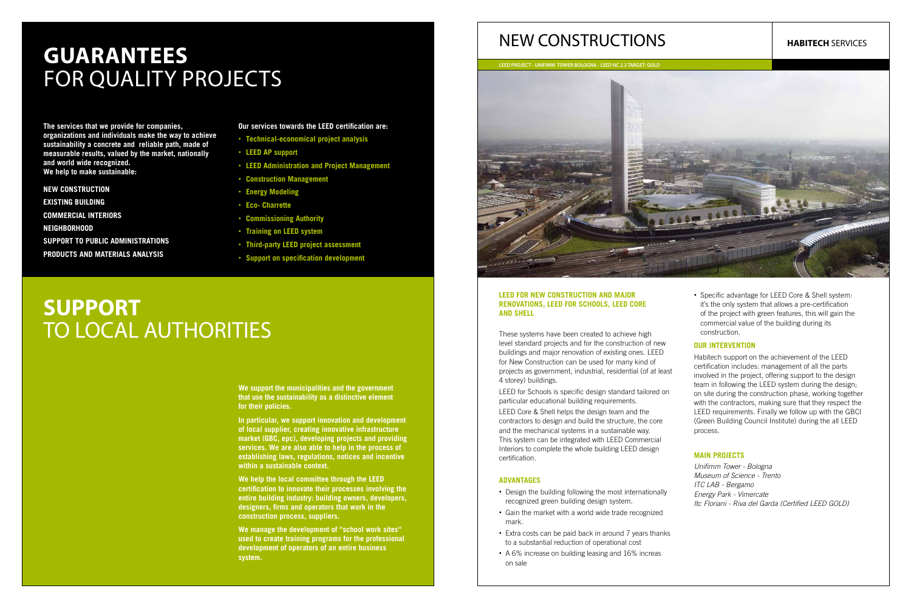#### **LEED FOR NEW CONSTRUCTION AND MAJOR RENOVATIONS, LEED FOR SCHOOLS, LEED CORE AND SHELL**

These systems have been created to achieve high level standard projects and for the construction of new buildings and major renovation of existing ones. LEED for New Construction can be used for many kind of projects as government, industrial, residential (of at least 4 storey) buildings.

LEED for Schools is specific design standard tailored on particular educational building requirements.

LEED Core & Shell helps the design team and the contractors to design and build the structure, the core and the mechanical systems in a sustainable way. This system can be integrated with LEED Commercial Interiors to complete the whole building LEED design certification.

• Specific advantage for LEED Core & Shell system: it's the only system that allows a pre-certification of the project with green features, this will gain the commercial value of the building during its construction.

#### **ADVANTAGES**

Habitech support on the achievement of the LEED certification includes: management of all the parts involved in the project, offering support to the design team in following the LEED system during the design: on site during the construction phase, working together with the contractors, making sure that they respect the LEED requirements. Finally we follow up with the GBCI (Green Building Council Institute) during the all LEED process.

- Design the building following the most internationally recognized green building design system.
- Gain the market with a world wide trade recognized mark.
- Extra costs can be paid back in around 7 years thanks to a substantial reduction of operational cost
- A 6% increase on building leasing and 16% increas on sale

## **Guarantees** FOR QUALITY PROJECTS

#### **OUR INTERVENTION**

We help the local committee through the **LEED certification to innovate their processes involving the entire building industry: building owners, developers, designers, firms and operators that work in the construction process, suppliers.** 

#### **MAIN PROJECTS**

*Unifimm Tower - Bologna Museum of Science - Trento ITC LAB - Bergamo Energy Park - Vimercate Itc Floriani - Riva del Garda (Certified LEED GOLD)*

### NEW CONSTRUCTIONS

**The services that we provide for companies, organizations and individuals make the way to achieve sustainability a concrete and reliable path, made of measurable results, valued by the market, nationally and world wide recognized. We help to make sustainable:** 

#### **NEW CONSTRUCTION**

**EXISTING BUILDING**

**COMMERCIAL INTERIORS**

**NEIGHBORHOOD**

**Support to Public Administrations**

**Products and materials analysis**

#### **Our services towards the LEED certification are:**

## **SUPPORT** TO LOCAL AUTHORITIES

**We support the municipalities and the government that use the sustainability as a distinctive element for their policies.** 

**In particular, we support innovation and development of local supplier, creating innovative infrastructure market (gbc, epc), developing projects and providing services. We are also able to help in the process of establishing laws, regulations, notices and incentive within a sustainable context.** 

**We manage the development of "school work sites" used to create training programs for the professional development of operators of an entire business system.** 

- **Technical-economical project analysis**
- **LEED AP support**
- **LEED Administration and Project Management**
- • **Construction Management**
- • **Energy Modeling**
- • **Eco- Charrette**
- • **Commissioning Authority**
- **Training on LEED system**
- • **Third-party LEED project assessment**
- **Support on specification development**

**LEED PROJECT - UNIFIMM TOWER BOLOGNA - LEED NC 2.2 TARGET: GOLD**



#### **HABITECH** SERVICES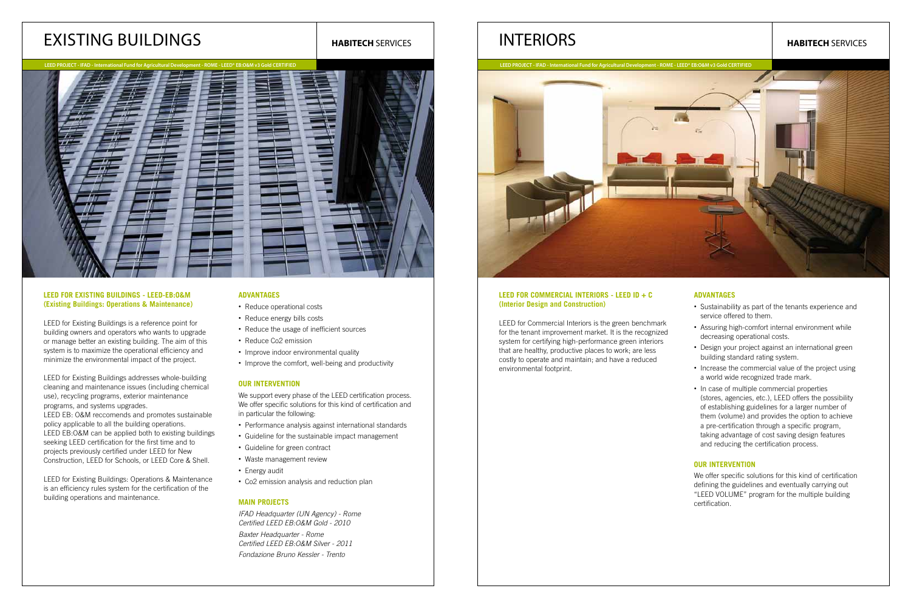#### **LEED FOR COMMERCIAL INTERIORS - LEED ID + C (Interior Design and Construction)**

LEED for Commercial Interiors is the green benchmark for the tenant improvement market. It is the recognized system for certifying high-performance green interiors that are healthy, productive places to work; are less costly to operate and maintain; and have a reduced environmental footprint.

#### **ADVANTAGES**

We offer specific solutions for this kind of certification defining the guidelines and eventually carrying out "LEED VOLUME" program for the multiple building certification.

- Sustainability as part of the tenants experience and service offered to them.
- Assuring high-comfort internal environment while decreasing operational costs.
- Design your project against an international green building standard rating system.
- Increase the commercial value of the project using a world wide recognized trade mark.
- In case of multiple commercial properties (stores, agencies, etc.), LEED offers the possibility of establishing guidelines for a larger number of them (volume) and provides the option to achieve a pre-certification through a specific program, taking advantage of cost saving design features and reducing the certification process.

LEED for Existing Buildings is a reference point for building owners and operators who wants to upgrade or manage better an existing building. The aim of this system is to maximize the operational efficiency and minimize the environmental impact of the project.

LEED for Existing Buildings addresses whole-building cleaning and maintenance issues (including chemical use), recycling programs, exterior maintenance programs, and systems upgrades. LEED EB: O&M reccomends and promotes sustainable policy applicable to all the building operations. LEED EB:O&M can be applied both to existing buildings seeking LEED certification for the first time and to projects previously certified under LEED for New Construction, LEED for Schools, or LEED Core & Shell.

#### **OUR INTERVENTION**

LEED for Existing Buildings: Operations & Maintenance is an efficiency rules system for the certification of the building operations and maintenance.

### INTERIORS

#### **LEED FOR EXISTING BUILDINGS - LEED-EB:O&M (Existing Buildings: Operations & Maintenance)**

We support every phase of the LEED certification process. We offer specific solutions for this kind of certification and in particular the following:

#### **advantages**

- Reduce operational costs
- Reduce energy bills costs
- Reduce the usage of inefficient sources
- Reduce co2 emission
- Improve indoor environmental quality
- Improve the comfort, well-being and productivity

#### **OUR INTERVENTION**

- Performance analysis against international standards
- Guideline for the sustainable impact management
- Guideline for green contract
- Waste management review
- Energy audit
- Co2 emission analysis and reduction plan

#### **MAIN PROJECTS**

*IFAD Headquarter (UN Agency) - Rome Certified LEED EB:O&M Gold - 2010* 

*Baxter Headquarter - Rome Certified LEED EB:O&M Silver - 2011*

*Fondazione Bruno Kessler - Trento*

### Existing Buildings



#### **HABITECH** SERVICES

 **LEED PROJECT - IFAD - International Fund for Agricultural Development - ROME - LEED® EB:O&M v3 Gold certified**

#### **HABITECH** SERVICES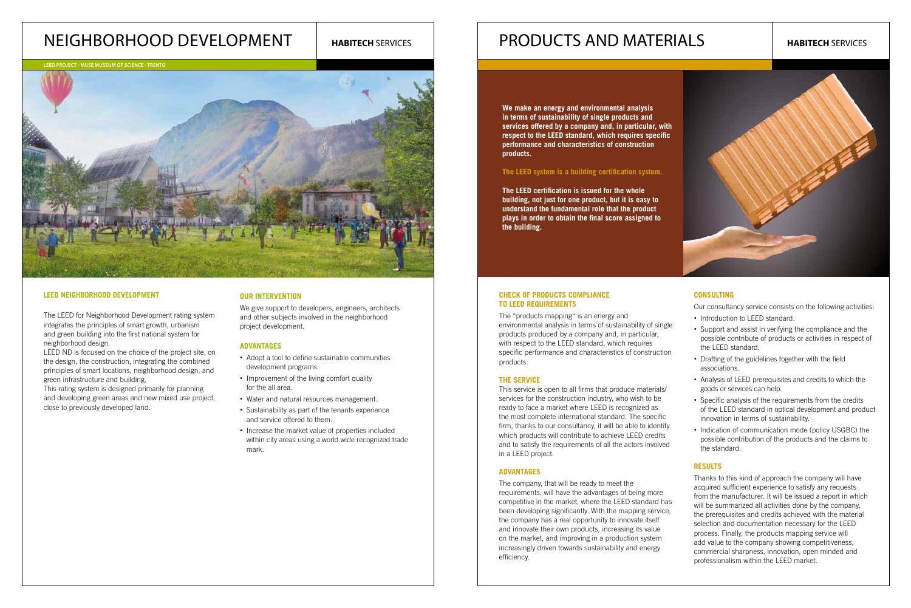#### **CHECK OF PRODUCTS COMPLIANCE TO LEED REQUIREMENTS**

This service is open to all firms that produce materials/ services for the construction industry, who wish to be ready to face a market where LEED is recognized as the most complete international standard. The specific firm, thanks to our consultancy, it will be able to identify which products will contribute to achieve LEED credits and to satisfy the requirements of all the actors involved in a LEED project.

The "products mapping" is an energy and environmental analysis in terms of sustainability of single products produced by a company and, in particular, with respect to the LEED standard, which requires specific performance and characteristics of construction products.

#### **THE SERVICE**

#### **ADVANTAGES**

- Introduction to LEED standard.
- Support and assist in verifying the compliance and the possible contribute of products or activities in respect of the LEED standard.
- Drafting of the guidelines together with the field associations.
- Analysis of LEED prerequisites and credits to which the goods or services can help.
- Specific analysis of the requirements from the credits of the LEED standard in optical development and product innovation in terms of sustainability.
- Indication of communication mode (policy USGBC) the possible contribution of the products and the claims to the standard.

Thanks to this kind of approach the company will have acquired sufficient experience to satisfy any requests from the manufacturer. It will be issued a report in which will be summarized all activities done by the company, the prerequisites and credits achieved with the material selection and documentation necessary for the LEED process. Finally, the products mapping service will add value to the company showing competitiveness, commercial sharpness, innovation, open minded and professionalism within the LEED market.

The company, that will be ready to meet the requirements, will have the advantages of being more competitive in the market, where the LEED standard has been developing significantly. With the mapping service, the company has a real opportunity to innovate itself and innovate their own products, increasing its value on the market, and improving in a production system increasingly driven towards sustainability and energy efficiency.



#### **CONSULTING**

Our consultancy service consists on the following activities:

The LEED for Neighborhood Development rating system integrates the principles of smart growth, urbanism and green building into the first national system for neighborhood design.

We give support to developers, engineers, architects and other subjects involved in the neighborhood project development.

#### **Results**

#### **LEED Neighborhood Development**

LEED ND is focused on the choice of the project site, on the design, the construction, integrating the combined principles of smart locations, neighborhood design, and green infrastructure and building.

This rating system is designed primarily for planning and developing green areas and new mixed use project, close to previously developed land.

#### **OUR INTERVENTION**

#### **ADVANTAGES**

### PRODUCTS AND MATERIALS **HABITECH** SERVICES **HABITECH** SERVICES

- Adopt a tool to define sustainable communities development programs.
- Improvement of the living comfort quality for the all area.
- Water and natural resources management.
- Sustainability as part of the tenants experience and service offered to them.
- Increase the market value of properties included within city areas using a world wide recognized trade mark.

### Neighborhood Development

**We make an energy and environmental analysis in terms of sustainability of single products and services offered by a company and, in particular, with respect to the leed standard, which requires specific performance and characteristics of construction products.** 

#### The LEED system is a building certification system.

**The leed certification is issued for the whole building, not just for one product, but it is easy to understand the fundamental role that the product plays in order to obtain the final score assigned to the building.**

**LEED Project - MUSE MUseum of SciencE - Trento**